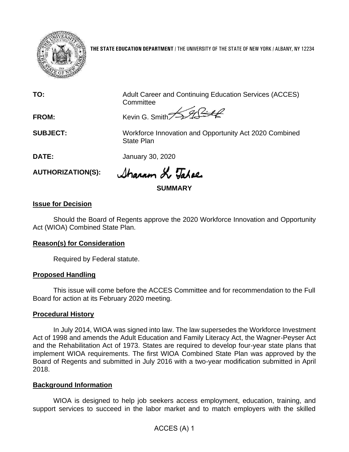

**THE STATE EDUCATION DEPARTMENT** / THE UNIVERSITY OF THE STATE OF NEW YORK / ALBANY, NY 12234

**TO:** Adult Career and Continuing Education Services (ACCES) **Committee** 

SARIA **FROM:** Kevin G. Smith<sup>7</sup>

**SUBJECT:** Workforce Innovation and Opportunity Act 2020 Combined State Plan

**DATE:** January 30, 2020

**AUTHORIZATION(S):**

Sharron L. Tabae

**SUMMARY**

## **Issue for Decision**

Should the Board of Regents approve the 2020 Workforce Innovation and Opportunity Act (WIOA) Combined State Plan.

### **Reason(s) for Consideration**

Required by Federal statute.

### **Proposed Handling**

This issue will come before the ACCES Committee and for recommendation to the Full Board for action at its February 2020 meeting.

### **Procedural History**

In July 2014, WIOA was signed into law. The law supersedes the Workforce Investment Act of 1998 and amends the Adult Education and Family Literacy Act, the Wagner-Peyser Act and the Rehabilitation Act of 1973. States are required to develop four-year state plans that implement WIOA requirements. The first WIOA Combined State Plan was approved by the Board of Regents and submitted in July 2016 with a two-year modification submitted in April 2018.

### **Background Information**

WIOA is designed to help job seekers access employment, education, training, and support services to succeed in the labor market and to match employers with the skilled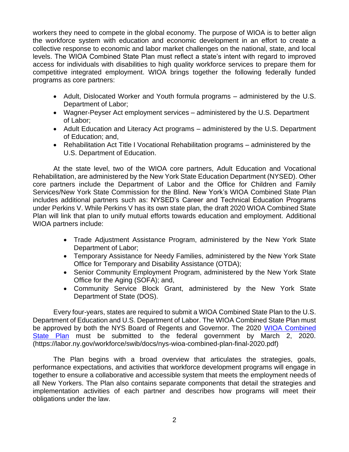workers they need to compete in the global economy. The purpose of WIOA is to better align the workforce system with education and economic development in an effort to create a collective response to economic and labor market challenges on the national, state, and local levels. The WIOA Combined State Plan must reflect a state's intent with regard to improved access for individuals with disabilities to high quality workforce services to prepare them for competitive integrated employment. WIOA brings together the following federally funded programs as core partners:

- Adult, Dislocated Worker and Youth formula programs administered by the U.S. Department of Labor;
- Wagner-Peyser Act employment services administered by the U.S. Department of Labor;
- Adult Education and Literacy Act programs administered by the U.S. Department of Education; and,
- Rehabilitation Act Title I Vocational Rehabilitation programs administered by the U.S. Department of Education.

At the state level, two of the WIOA core partners, Adult Education and Vocational Rehabilitation, are administered by the New York State Education Department (NYSED). Other core partners include the Department of Labor and the Office for Children and Family Services/New York State Commission for the Blind. New York's WIOA Combined State Plan includes additional partners such as: NYSED's Career and Technical Education Programs under Perkins V. While Perkins V has its own state plan, the draft 2020 WIOA Combined State Plan will link that plan to unify mutual efforts towards education and employment. Additional WIOA partners include:

- Trade Adjustment Assistance Program, administered by the New York State Department of Labor;
- Temporary Assistance for Needy Families, administered by the New York State Office for Temporary and Disability Assistance (OTDA);
- Senior Community Employment Program, administered by the New York State Office for the Aging (SOFA); and,
- Community Service Block Grant, administered by the New York State Department of State (DOS).

Every four-years, states are required to submit a WIOA Combined State Plan to the U.S. Department of Education and U.S. Department of Labor. The WIOA Combined State Plan must be approved by both the NYS Board of Regents and Governor. The 2020 [WIOA Combined](https://labor.ny.gov/workforce/swib/docs/nys-wioa-combined-plan-final-2020.pdf)  [State Plan](https://labor.ny.gov/workforce/swib/docs/nys-wioa-combined-plan-final-2020.pdf) must be submitted to the federal government by March 2, 2020. (https://labor.ny.gov/workforce/swib/docs/nys-wioa-combined-plan-final-2020.pdf)

The Plan begins with a broad overview that articulates the strategies, goals, performance expectations, and activities that workforce development programs will engage in together to ensure a collaborative and accessible system that meets the employment needs of all New Yorkers. The Plan also contains separate components that detail the strategies and implementation activities of each partner and describes how programs will meet their obligations under the law.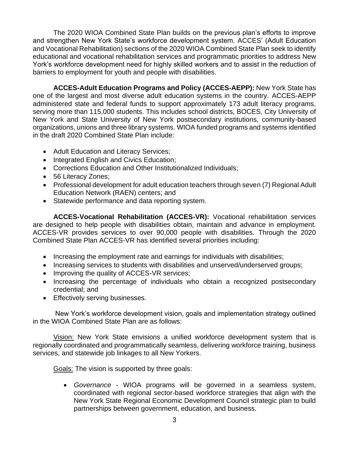The 2020 WIOA Combined State Plan builds on the previous plan's efforts to improve and strengthen New York State's workforce development system. ACCES' (Adult Education and Vocational Rehabilitation) sections of the 2020 WIOA Combined State Plan seek to identify educational and vocational rehabilitation services and programmatic priorities to address New York's workforce development need for highly skilled workers and to assist in the reduction of barriers to employment for youth and people with disabilities.

**ACCES-Adult Education Programs and Policy (ACCES-AEPP):** New York State has one of the largest and most diverse adult education systems in the country. ACCES-AEPP administered state and federal funds to support approximately 173 adult literacy programs, serving more than 115,000 students. This includes school districts, BOCES, City University of New York and State University of New York postsecondary institutions, community-based organizations, unions and three library systems. WIOA funded programs and systems identified in the draft 2020 Combined State Plan include:

- Adult Education and Literacy Services;
- Integrated English and Civics Education;
- Corrections Education and Other Institutionalized Individuals;
- 56 Literacy Zones:
- Professional development for adult education teachers through seven (7) Regional Adult Education Network (RAEN) centers; and
- Statewide performance and data reporting system.

**ACCES-Vocational Rehabilitation (ACCES-VR):** Vocational rehabilitation services are designed to help people with disabilities obtain, maintain and advance in employment. ACCES-VR provides services to over 90,000 people with disabilities. Through the 2020 Combined State Plan ACCES-VR has identified several priorities including:

- Increasing the employment rate and earnings for individuals with disabilities;
- Increasing services to students with disabilities and unserved/underserved groups;
- Improving the quality of ACCES-VR services;
- Increasing the percentage of individuals who obtain a recognized postsecondary credential; and
- Effectively serving businesses.

New York's workforce development vision, goals and implementation strategy outlined in the WIOA Combined State Plan are as follows:

Vision: New York State envisions a unified workforce development system that is regionally coordinated and programmatically seamless, delivering workforce training, business services, and statewide job linkages to all New Yorkers.

Goals: The vision is supported by three goals:

• *Governance* - WIOA programs will be governed in a seamless system, coordinated with regional sector-based workforce strategies that align with the New York State Regional Economic Development Council strategic plan to build partnerships between government, education, and business.